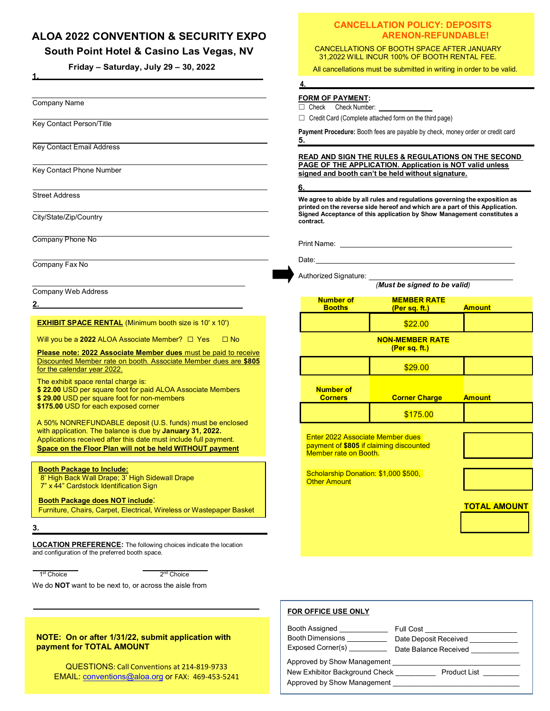# **ALOA 2022 CONVENTION & SECURITY EXPO**

## **South Point Hotel & Casino Las Vegas, NV**

**Friday – Saturday, July 29 – 30, 2022**

Company Name

 **1.**

Key Contact Person/Title

Key Contact Email Address

Key Contact Phone Number

Street Address

City/State/Zip/Country

Company Phone No

Company Fax No

Company Web Address

**2.**

**EXHIBIT SPACE RENTAL** (Minimum booth size is 10' x 10')

Will you be a 2022 ALOA Associate Member? □ Yes □ No

**Please note: 2022 Associate Member dues** must be paid to receive Discounted Member rate on booth. Associate Member dues are **\$805**  for the calendar year 2022.

The exhibit space rental charge is: **\$ 22.00** USD per square foot for paid ALOA Associate Members

**\$ 29.00** USD per square foot for non-members

**\$175.00** USD for each exposed corner

A 50% NONREFUNDABLE deposit (U.S. funds) must be enclosed with application. The balance is due by **January 31, 2022.** Applications received after this date must include full payment. **Space on the Floor Plan will not be held WITHOUT payment**

**Booth Package to Include:**

8' High Back Wall Drape; 3' High Sidewall Drape 7" x 44" Cardstock Identification Sign

**Booth Package does NOT include**:

Furniture, Chairs, Carpet, Electrical, Wireless or Wastepaper Basket

### **3.**

**LOCATION PREFERENCE:** The following choices indicate the location and configuration of the preferred booth space.

1<sup>st</sup> Choice 2

 $2<sup>nd</sup>$  Choice

We do **NOT** want to be next to, or across the aisle from

### **NOTE: On or after 1/31/22, submit application with payment for TOTAL AMOUNT**

QUESTIONS: Call Conventions at 214-819-9733 EMAIL: [conventions@aloa.org](mailto:conventions@aloa.org) or FAX: 469-453-5241

## **CANCELLATION POLICY: DEPOSITS ARENON-REFUNDABLE!**

CANCELLATIONS OF BOOTH SPACE AFTER JANUARY 31,2022 WILL INCUR 100% OF BOOTH RENTAL FEE.

All cancellations must be submitted in writing in order to be valid.

### **4.**

### **FORM OF PAYMENT:**

☐ Check Check Number:

□ Credit Card (Complete attached form on the third page)

**Payment Procedure:** Booth fees are payable by check, money order or credit card **5.**

**READ AND SIGN THE RULES & REGULATIONS ON THE SECOND PAGE OF THE APPLICATION. Application is NOT valid unless signed and booth can't be held without signature.** 

**We agree to abide by all rules and regulations governing the exposition as printed on the reverse side hereof and which are a part of this Application. Signed Acceptance of this application by Show Management constitutes a contract.** 

Print Name:

Date:

**6.**

Authorized Signature:

| (Must be signed to be valid)                                                                                                                                               |                                     |                     |  |  |  |
|----------------------------------------------------------------------------------------------------------------------------------------------------------------------------|-------------------------------------|---------------------|--|--|--|
| <b>Number of</b><br><b>Booths</b>                                                                                                                                          | <b>MEMBER RATE</b><br>(Per sq. ft.) | <b>Amount</b>       |  |  |  |
|                                                                                                                                                                            | \$22.00                             |                     |  |  |  |
| <b>NON-MEMBER RATE</b><br>(Per sq. ft.)                                                                                                                                    |                                     |                     |  |  |  |
|                                                                                                                                                                            | \$29.00                             |                     |  |  |  |
| <b>Number of</b><br><b>Corners</b>                                                                                                                                         | <b>Corner Charge</b>                | <b>Amount</b>       |  |  |  |
|                                                                                                                                                                            | \$175.00                            |                     |  |  |  |
| <b>Enter 2022 Associate Member dues</b><br>payment of \$805 if claiming discounted<br>Member rate on Booth.<br>Scholarship Donation: \$1,000 \$500,<br><b>Other Amount</b> |                                     |                     |  |  |  |
|                                                                                                                                                                            |                                     | <b>TOTAL AMOUNT</b> |  |  |  |

| FOR OFFICE USE ONLY                                                                          |                                                             |
|----------------------------------------------------------------------------------------------|-------------------------------------------------------------|
| Booth Assigned<br>Booth Dimensions<br>Exposed Corner(s)                                      | Full Cost<br>Date Deposit Received<br>Date Balance Received |
| Approved by Show Management<br>New Exhibitor Background Check<br>Approved by Show Management | <b>Product List</b>                                         |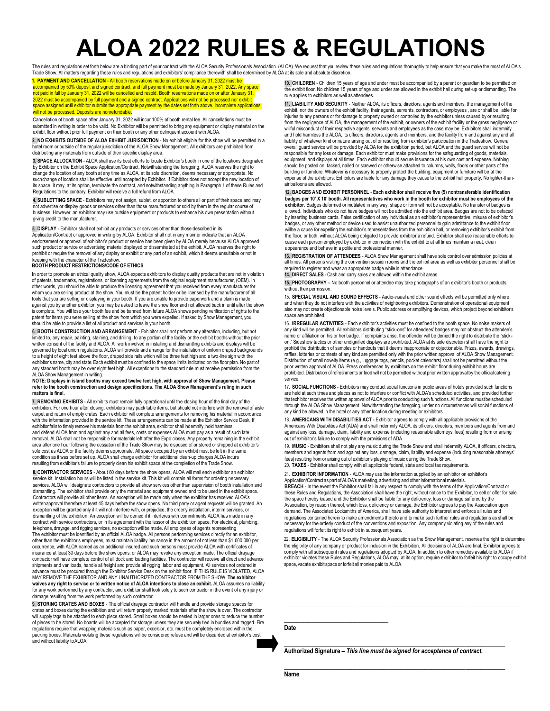# **ALOA 2022 RULES & REGULATIONS**

The rules and requiations set forth below are a binding part of your contract with the ALOA Security Professionals Association. (ALOA). We request that you review these rules and requiations thoroughly to help ensure that Trade Show. All matters regarding these rules and regulations and exhibitors' compliance therewith shall be determined by ALOA at its sole and absolute discretion.

**1. PAYMENT AND CANCELLATION** - All booth reservations made on or before January 31, 2022 must be accompanied by 50% deposit and signed contract, and full payment must be made by January 31, 2022. Any space not paid in full by January 31, 2022 will be cancelled and resold. Booth reservations made on or after January 31, 2022 must be accompanied by full payment and a signed contract. Applications will not be processed nor exhibit space assigned until exhibitor submits the appropriate payment by the dates set forth above. Incomplete applications<br>will not be processed. Deposits are nonrefundable.

Cancellation of booth space after January 31, 2022 will incur 100% of booth rental fee. All cancellations must be<br>submitted in writing in order to be valid. No Exhibitor will be permitted to bring any equipment or display exhibit floor without prior full payment on their booth or any other delinquent account with ALOA.

**2. NO EXHIBITS OUTSIDE OF ALOA EXHIBIT JURISDICTION** - No exhibit eligible for this show will be permitted in a hotel room or outside of the regular jurisdiction of the ALOA Show Management. All exhibitors are prohibited from distributing any materials from outside of their specific display area.

**3. SPACE ALLOCATION** - ALOA shall use its best efforts to locate Exhibitor's booth in one of the locations designated by Exhibitor on the Exhibit Space Application/Contract. Notwithstanding the foregoing, ALOA reserves the right to<br>change the location of any booth at any time as ALOA, at its sole discretion, deems necessary or appropriate suchchange of location shall be effective until accepted by Exhibitor. If Exhibitor does not accept the new location of its space, it may, at its option, terminate the contract, and notwithstanding anything in Paragraph 1 of these Rules and Regulations to the contrary, Exhibitor will receive a full refundfrom ALOA.

**4. SUBLETTING SPACE** - Exhibitors may not assign, sublet, or apportion to others all or part of their space and may not advertise or display goods or services other than those manufactured or sold by them in the regular course of business. However, an exhibitor may use outside equipment or products to enhance his own presentation without giving credit to the manufacturer.

**5. DISPLAY** - Exhibitor shall not exhibit any products or services other than those described in its

Application/Contract or approved in writing by ALOA. Exhibitor shall not in any manner indicate that an ALOA endorsement or approval of exhibitor's product or service has been given by ALOA merely because ALOA approved such product or service or advertising material displayed or disseminated at the exhibit. ALOA reserves the right to prohibit or require the removal of any display or exhibit or any part of an exhibit, which it deems unsuitable or not in keeping with the character of the Tradeshow.

### **BOOTH PRODUCT RESTRICTIONS/CODE OF ETHICS**

In order to promote an ethical quality show, ALOA expects exhibitors to display quality products that are not in violation of patents, trademarks, registrations, or licensing agreements from the original equipment manufacturer, (OEM). In other words, you should be able to produce the licensing agreement that you received from every manufacturer for whom you are selling product at the show. You must be the patent holder or be licensed by the manufacturer of all tools that you are selling or displaying in your booth. If you are unable to provide paperwork and a claim is made against you by another exhibitor, you may be asked to leave the show floor and not allowed back in until after the show is complete. You will lose your booth fee and be banned from future ALOA shows pending verification of rights to the patent for items you were selling at the show from which you were expelled. If asked by Show Management, you should be able to provide a list of all product and services in your booth.

**6. BOOTH CONSTRUCTION AND ARRANGEMENT** - Exhibitor shall not perform any alteration, including, but not limited to, any repair, painting, staining, and drilling, to any portion of the facility or the exhibit booths without the prior<br>written consent of the facility and ALOA. All work involved in installing and dismantling exh governed by local union regulations. ALOA will provide and arrange for the installation of uniform draped backgrounds to a height of eight feet above the floor, draped side rails which will be three feet high and a two-line sign with the exhibitor's name, city and state. Each exhibit must be confined to the space limits indicated on the floor plan. No part of any standard booth may be over eight feet high. All exceptions to the standard rule must receive permission from the ALC Show Management in writing.

#### **NOTE: Displays in island booths may exceed twelve feet high, with approval of Show Management. Please refer to the booth construction and design specifications. The ALOA Show Management's ruling in such matters is final.**

**7. REMOVING EXHIBITS** - All exhibits must remain fully operational until the closing hour of the final day of the exhibition. For one hour after closing, exhibitors may pack table items, but should not interfere with the removal of aisle carpet and return of empty crates. Each exhibitor will complete arrangements for removing his material in accordance<br>with the information provided in the service kit. These arrangements can be made at the Exhibitor Service and defend ALOA from and against any and all fees, costs or expenses ALOA must pay as a result of such late removal. ALOA shall not be responsible for materials left after the Expo closes. Any property remaining in the exhibit area after one hour following the cessation of the Trade Show may be disposed of or stored or shipped at exhibitor's sole cost as ALOA or the facility deems appropriate. All space occupied by an exhibit must be left in the same condition as it was before set up. ALOA shall charge exhibitor for additional clean-up charges ALOA incurs resulting from exhibitor's failure to properly clean his exhibit space at the completion of the Trade Show.

**8. CONTRACTOR SERVICES** - About 60 days before the show opens, ALOA will mail each exhibitor an exhibitor service kit. Installation hours will be listed in the service kit. This kit will contain all forms for ordering necessary services. ALOA will designate contractors to provide all show services other than supervision of booth installation and<br>dismantling. The exhibitor shall provide only the material and equipment owned and to be used in the e Contractors will provide all other items. An exception will be made only when the exhibitor has received ALOA's writtenapproval therefore at least 45 days before the show opens. No third party or agent requests will be granted. An<br>exception will be granted only if it will not interfere with, or prejudice, the orderly installation, i dismantling of the exhibition. An exception will be denied if it interferes with commitments ALOA has made in any contract with service contractors, or in its agreement with the lessor of the exhibition space. For electrical, plumbing, telephone, drayage, and rigging services, no exception will be made. All employees of agents representing The exhibitor must be identified by an official ALOA badge. All persons performing services directly for an exhibitor, other than the exhibitor's employees, must maintain liability insurance in the amount of not less than \$1,000,000 per occurrence, with ALOA named as an additional insured and such persons must provide ALOA with certificates of insurance at least 30 days before the show opens, or ALOA may revoke any exception made. The official drayage contractor will have complete control of all dock and loading facilities. The contractor will receive all direct and advance shipments and van loads, handle all freight and provide all rigging, labor and equipment. All services not ordered in<br>advance must be procured through the Exhibitor Service Desk on the exhibit floor. IF THIS RULE IS VIOLAT MAY REMOVE THE EXHIBITOR AND ANY UNAUTHORIZED CONTRACTOR FROM THE SHOW. **The exhibitor waives any right to service or to written notice of ALOA intentions to close an exhibit.** ALOA assumes no liability for any work performed by any contractor, and exhibitor shall look solely to such contractor in the event of any injury or damage resulting from the work performed by such contractor.

**9. STORING CRATES AND BOXES** - The official drayage contractor will handle and provide storage spaces for crates and boxes during the exhibition and will return properly marked materials after the show is over. The contractor<br>will supply tags to be attached to each piece stored. Small boxes should be nested in larger ones to r of pieces to be stored. No boards will be accepted for storage unless they are securely tied in bundles and tagged. Fire regulations require that wrapping materials such as paper, excelsior, etc. must be completely enclosed within the packing boxes. Materials violating these regulations will be considered refuse and will be discarded at exhibitor's co and without liability to ALOA.

**10. CHILDREN** - Children 15 years of age and under must be accompanied by a parent or guardian to be permitted on the exhibit floor. No children 15 years of age and under are allowed in the exhibit hall during set-up or dismantling. The rule applies to exhibitors as well as attendees.

**11. LIABILITY AND SECURITY** - Neither ALOA, its officers, directors, agents and members, the management of the exhibit, nor the owners of the exhibit facility, their agents, servants, contractors, or employees , are or shall be liable for<br>injuries to any persons or for damage to property owned or controlled by the exhibitor unless from the negligence of ALOA, the management of the exhibit, or owners of the exhibit facility or the gross negligence or willful misconduct of their respective agents, servants and employees as the case may be. Exhibitors shall indemnify and hold harmless the ALOA, its officers, directors, agents and members, and the facility from and against any and all liability of whatever kind or nature arising out of or resulting from exhibitor's participation in the Tradeshow. General overall guard service will be provided by ALOA for the exhibition period, but ALOA and the guard service will not be responsible for any loss or damage. Each exhibitor must make provisions for the safeguarding of goods, materials, equipment, and displays at all times. Each exhibitor should secure insurance at his own cost and expense. Nothing should be posted on, tacked, nailed or screwed or otherwise attached to columns, walls, floors or other parts of the building or furniture. Whatever is necessary to properly protect the building, equipment or furniture will be at the<br>expense of the exhibitors. Exhibitors are liable for any damage they cause to the exhibit hall property. air balloons are allowed.

### **12. BADGES AND EXHIBIT PERSONNEL** - **Each exhibitor shall receive five (5) nontransferable identification badges per 10' X 10' booth. All representatives who work in the booth for exhibitor must be employees of the** exhibitor. Badges deformed or mutilated in any way, shape or form will not be acceptable. No transfer of badges is<br>allowed. Individuals who do not have badges will not be admitted into the exhibit area. Badges are not to b by inserting business cards. False certification of any individual as an exhibitor's representative, misuse of exhibitor's badges, or any other method or device used to assist unauthorized personnel to gain admittance to the exhibit floor willbe a cause for expelling the exhibitor's representatives from the exhibition hall, or removing exhibitor's exhibit from the floor, or both, without ALOA being obligated to provide exhibitor a refund. Exhibitor shall use reasonable efforts to cause each person employed by exhibitor in connection with the exhibit to at all times maintain a neat, clean appearance and behave in a polite and professionalmanner.

**13. REGISTRATION OF ATTENDEES** - ALOA Show Management shall have sole control over admission policies at all times. All persons visiting the convention session rooms and the exhibit area as well as exhibitor personnel shall be required to register and wear an appropriate badge while in attendance.

**14. DIRECT SALES** - Cash and carry sales are allowed within the exhibit areas.

**15. PHOTOGRAPHY** – No booth personnel or attendee may take photographs of an exhibitor's booth or products without their permission

15. **SPECIAL VISUAL AND SOUND EFFECTS** - Audio-visual and other sound effects will be permitted only where and when they do not interfere with the activities of neighboring exhibitors. Demonstration of operational equip also may not create objectionable noise levels. Public address or amplifying devices, which project beyond exhibitor's space are prohibited.

16. **IRREGULAR ACTIVITIES** - Each exhibitor's activities must be confined to the booth space. No noise makers of any kind will be permitted. All exhibitors distributing "stick-ons" for attendees' badges may not obstruct the attendee's name or affiliation on his or her badge. If complaints arise, the offender will be denied the right to distribute the "stick on." Sideshow tactics or other undignified displays are prohibited. ALOA at its sole discretion shall have the right to prohibit the distribution of samples or handouts that it deems inappropriate or objectionable. Prizes, awards, drawings, raffles, lotteries or contests of any kind are permitted only with the prior written approval of ALOA Show Management. Distribution of small novelty items (e.g., luggage tags, pencils, pocket calendars) shall not be permitted without the prior written approval of ALOA. Press conferences by exhibitors on the exhibit floor during exhibit hours are prohibited. Distribution of refreshments or food will not be permitted withoutprior written approval by the official catering service.

17. **SOCIAL FUNCTIONS** - Exhibitors may conduct social functions in public areas of hotels provided such functions are held at such times and places as not to interfere or conflict with ALOA's scheduled activities, and provided further thatexhibitor receives the written approval of ALOA prior to conducting such functions. All functions must be scheduled<br>through the ALOA Show Management. Notwithstanding the foregoing, under no circumstances will social fu any kind be allowed in the hotel or any other location during meeting or exhibitors

18. **AMERICANS WITH DISABILITIES ACT** - Exhibitor agrees to comply with all applicable provisions of the Americans With Disabilities Act (ADA) and shall indemnify ALOA, its officers, directors, members and agents from and against any loss, damage, claim, liability and expense (including reasonable attorneys' fees) resulting from or arising out of exhibitor's failure to comply with the provisions of ADA.

19. **MUSIC** - Exhibitors shall not play any music during the Trade Show and shall indemnify ALOA, it officers, directors, members and agents from and against any loss, damage, claim, liability and expense (including reasonable attorneys' fees) resulting fromor arising out of exhibitor's playing of music during the Trade Show. 20. **TAXES** - Exhibitor shall comply with all applicable federal, state and local tax requirements.

21. **EXHIBITOR INFORMATION** - ALOA may use the information supplied by an exhibitor on exhibitor's Application/Contract as part of ALOA's marketing, advertising and other informational materials

**BREACH** - In the event the Exhibitor shall fail in any respect to comply with the terms of the Application/Contract or these Rules and Regulations, the Association shall have the right, without notice to the Exhibitor, to sell or offer for sale the space hereby leased and the Exhibitor shall be liable for any deficiency, loss or damage suffered by the Association, by reason thereof, which loss, deficiency or damage, the Exhibitor agrees to pay the Association upon demand. The Associated Locksmiths of America, shall have sole authority to interpret and enforce all rules and regulations contained herein to make amendments thereto and to make such further rules and regulations as shall be necessary for the orderly conduct of the conventions and exposition. Any company violating any of the rules and regulations will forfeit its right to exhibit in subsequent years.

22. **ELIGIBILITY** - The ALOA Security Professionals Association as the Show Management, reserves the right to determine the eligibility of any company or product for inclusion in the Exhibition. All decisions of ALOA are final. Exhibitor agrees to comply with all subsequent rules and regulations adopted by ALOA. In addition to other remedies available to ALOA if<br>exhibitor violates these Rules and Regulations, ALOA may, at its option, require exhibitor to forfeit his space, vacate exhibit space or forfeit allmonies paid to ALOA.

**\_\_\_\_\_\_\_\_\_\_\_\_\_\_\_\_\_\_\_\_\_\_\_\_\_\_\_\_\_\_\_\_\_\_\_\_\_\_\_\_\_\_\_\_\_\_\_\_\_\_\_\_\_\_\_\_\_\_\_\_\_\_\_\_\_\_\_\_\_\_\_\_\_\_\_\_\_\_**

**Date**

**\_\_\_\_\_\_\_\_\_\_\_\_\_\_\_\_\_\_\_\_\_\_\_\_\_\_\_\_\_\_\_\_\_\_**

**Authorized Signature –** *This line must be signed for acceptance of contract.*

**\_\_\_\_\_\_\_\_\_\_\_\_\_\_\_\_\_\_\_\_\_\_\_\_\_\_\_\_\_\_\_\_\_\_\_\_\_\_\_\_\_\_\_\_\_\_\_\_\_\_\_\_\_\_\_\_\_\_\_\_\_\_\_\_\_\_\_\_\_\_\_\_**

*\_\_\_\_\_\_\_\_\_\_\_\_\_\_\_\_\_\_\_\_\_\_\_\_\_\_\_\_\_\_\_\_\_\_\_\_\_\_\_\_\_\_\_\_\_\_\_\_\_\_\_\_\_\_\_\_\_\_\_\_\_\_\_\_\_\_\_\_\_\_\_\_*